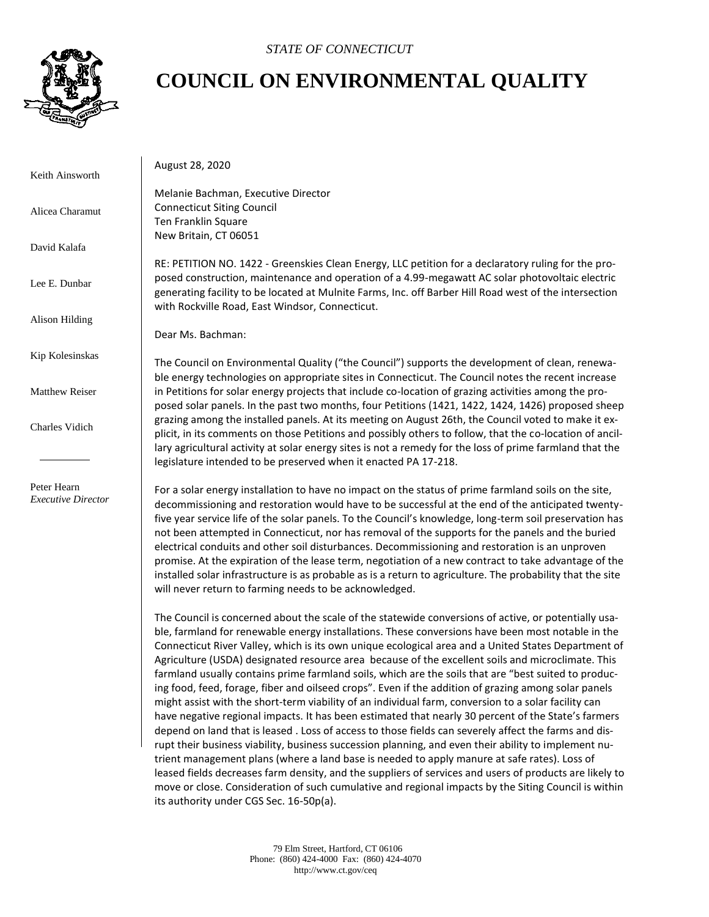

## **COUNCIL ON ENVIRONMENTAL QUALITY**

Keith Ainsworth

Alicea Charamut

David Kalafa

Lee E. Dunbar

Alison Hilding

Kip Kolesinskas

Matthew Reiser

Charles Vidich

 Peter Hearn *Executive Director* August 28, 2020

Melanie Bachman, Executive Director Connecticut Siting Council Ten Franklin Square New Britain, CT 06051

RE: PETITION NO. 1422 - Greenskies Clean Energy, LLC petition for a declaratory ruling for the proposed construction, maintenance and operation of a 4.99-megawatt AC solar photovoltaic electric generating facility to be located at Mulnite Farms, Inc. off Barber Hill Road west of the intersection with Rockville Road, East Windsor, Connecticut.

Dear Ms. Bachman:

The Council on Environmental Quality ("the Council") supports the development of clean, renewable energy technologies on appropriate sites in Connecticut. The Council notes the recent increase in Petitions for solar energy projects that include co-location of grazing activities among the proposed solar panels. In the past two months, four Petitions (1421, 1422, 1424, 1426) proposed sheep grazing among the installed panels. At its meeting on August 26th, the Council voted to make it explicit, in its comments on those Petitions and possibly others to follow, that the co-location of ancillary agricultural activity at solar energy sites is not a remedy for the loss of prime farmland that the legislature intended to be preserved when it enacted PA 17-218.

For a solar energy installation to have no impact on the status of prime farmland soils on the site, decommissioning and restoration would have to be successful at the end of the anticipated twentyfive year service life of the solar panels. To the Council's knowledge, long-term soil preservation has not been attempted in Connecticut, nor has removal of the supports for the panels and the buried electrical conduits and other soil disturbances. Decommissioning and restoration is an unproven promise. At the expiration of the lease term, negotiation of a new contract to take advantage of the installed solar infrastructure is as probable as is a return to agriculture. The probability that the site will never return to farming needs to be acknowledged.

The Council is concerned about the scale of the statewide conversions of active, or potentially usable, farmland for renewable energy installations. These conversions have been most notable in the Connecticut River Valley, which is its own unique ecological area and a United States Department of Agriculture (USDA) designated resource area because of the excellent soils and microclimate. This farmland usually contains prime farmland soils, which are the soils that are "best suited to producing food, feed, forage, fiber and oilseed crops". Even if the addition of grazing among solar panels might assist with the short-term viability of an individual farm, conversion to a solar facility can have negative regional impacts. It has been estimated that nearly 30 percent of the State's farmers depend on land that is leased . Loss of access to those fields can severely affect the farms and disrupt their business viability, business succession planning, and even their ability to implement nutrient management plans (where a land base is needed to apply manure at safe rates). Loss of leased fields decreases farm density, and the suppliers of services and users of products are likely to move or close. Consideration of such cumulative and regional impacts by the Siting Council is within its authority under CGS Sec. 16-50p(a).